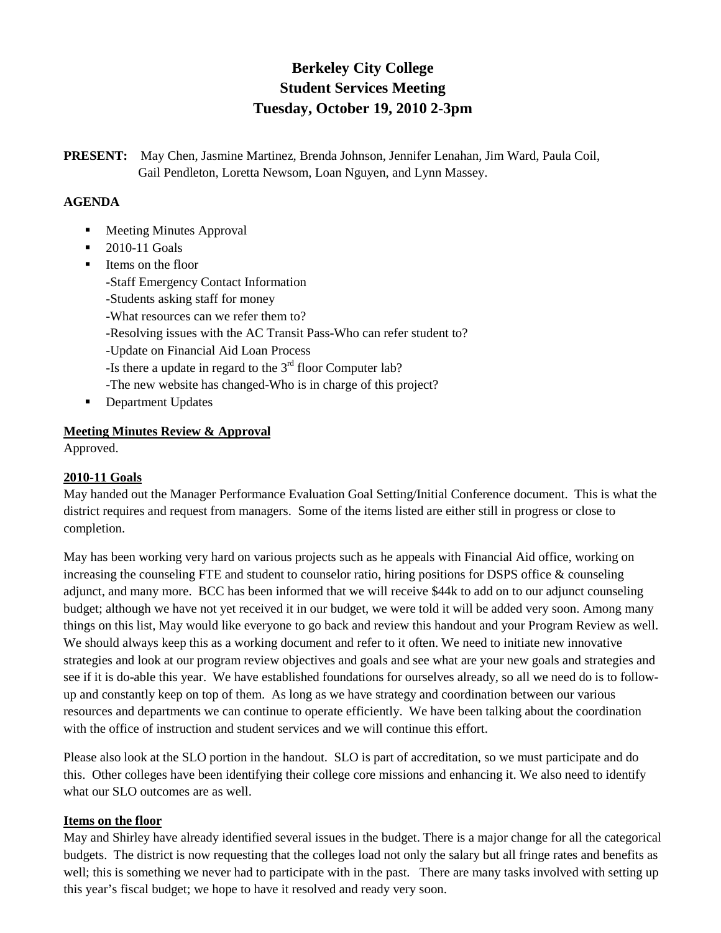# **Berkeley City College Student Services Meeting Tuesday, October 19, 2010 2-3pm**

**PRESENT:** May Chen, Jasmine Martinez, Brenda Johnson, Jennifer Lenahan, Jim Ward, Paula Coil, Gail Pendleton, Loretta Newsom, Loan Nguyen, and Lynn Massey.

### **AGENDA**

- Meeting Minutes Approval
- 2010-11 Goals
- **I** Items on the floor -Staff Emergency Contact Information -Students asking staff for money -What resources can we refer them to? -Resolving issues with the AC Transit Pass-Who can refer student to? -Update on Financial Aid Loan Process -Is there a update in regard to the  $3<sup>rd</sup>$  floor Computer lab? -The new website has changed-Who is in charge of this project? Department Updates
- **Meeting Minutes Review & Approval**

Approved.

#### **2010-11 Goals**

May handed out the Manager Performance Evaluation Goal Setting/Initial Conference document. This is what the district requires and request from managers. Some of the items listed are either still in progress or close to completion.

May has been working very hard on various projects such as he appeals with Financial Aid office, working on increasing the counseling FTE and student to counselor ratio, hiring positions for DSPS office & counseling adjunct, and many more. BCC has been informed that we will receive \$44k to add on to our adjunct counseling budget; although we have not yet received it in our budget, we were told it will be added very soon. Among many things on this list, May would like everyone to go back and review this handout and your Program Review as well. We should always keep this as a working document and refer to it often. We need to initiate new innovative strategies and look at our program review objectives and goals and see what are your new goals and strategies and see if it is do-able this year. We have established foundations for ourselves already, so all we need do is to followup and constantly keep on top of them. As long as we have strategy and coordination between our various resources and departments we can continue to operate efficiently. We have been talking about the coordination with the office of instruction and student services and we will continue this effort.

Please also look at the SLO portion in the handout. SLO is part of accreditation, so we must participate and do this. Other colleges have been identifying their college core missions and enhancing it. We also need to identify what our SLO outcomes are as well.

#### **Items on the floor**

May and Shirley have already identified several issues in the budget. There is a major change for all the categorical budgets. The district is now requesting that the colleges load not only the salary but all fringe rates and benefits as well; this is something we never had to participate with in the past. There are many tasks involved with setting up this year's fiscal budget; we hope to have it resolved and ready very soon.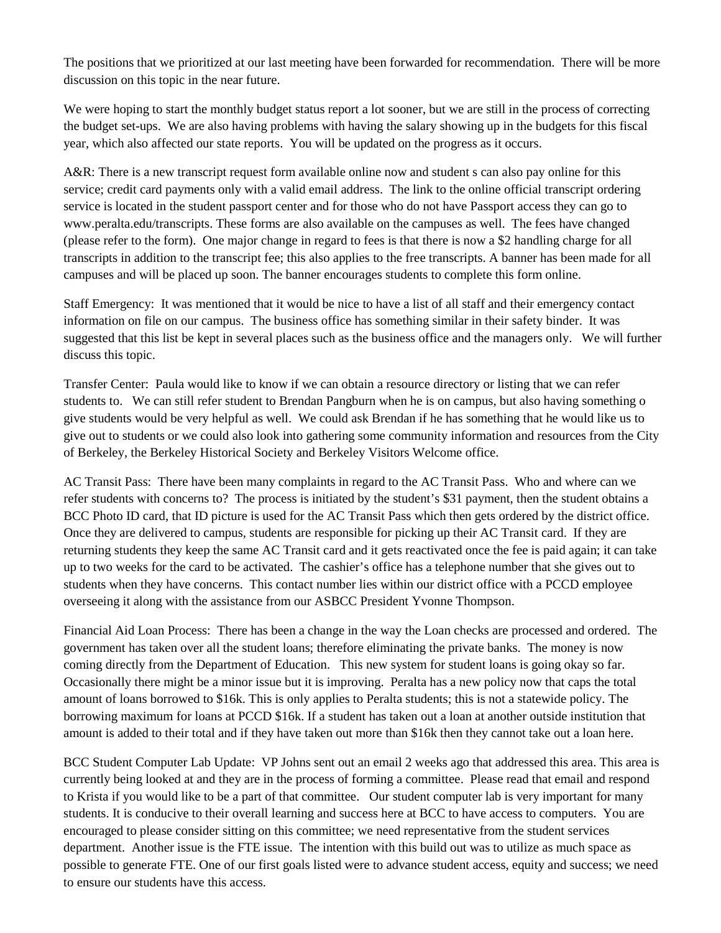The positions that we prioritized at our last meeting have been forwarded for recommendation. There will be more discussion on this topic in the near future.

We were hoping to start the monthly budget status report a lot sooner, but we are still in the process of correcting the budget set-ups. We are also having problems with having the salary showing up in the budgets for this fiscal year, which also affected our state reports. You will be updated on the progress as it occurs.

A&R: There is a new transcript request form available online now and student s can also pay online for this service; credit card payments only with a valid email address. The link to the online official transcript ordering service is located in the student passport center and for those who do not have Passport access they can go to www.peralta.edu/transcripts. These forms are also available on the campuses as well. The fees have changed (please refer to the form). One major change in regard to fees is that there is now a \$2 handling charge for all transcripts in addition to the transcript fee; this also applies to the free transcripts. A banner has been made for all campuses and will be placed up soon. The banner encourages students to complete this form online.

Staff Emergency: It was mentioned that it would be nice to have a list of all staff and their emergency contact information on file on our campus. The business office has something similar in their safety binder. It was suggested that this list be kept in several places such as the business office and the managers only. We will further discuss this topic.

Transfer Center: Paula would like to know if we can obtain a resource directory or listing that we can refer students to. We can still refer student to Brendan Pangburn when he is on campus, but also having something o give students would be very helpful as well. We could ask Brendan if he has something that he would like us to give out to students or we could also look into gathering some community information and resources from the City of Berkeley, the Berkeley Historical Society and Berkeley Visitors Welcome office.

AC Transit Pass: There have been many complaints in regard to the AC Transit Pass. Who and where can we refer students with concerns to? The process is initiated by the student's \$31 payment, then the student obtains a BCC Photo ID card, that ID picture is used for the AC Transit Pass which then gets ordered by the district office. Once they are delivered to campus, students are responsible for picking up their AC Transit card. If they are returning students they keep the same AC Transit card and it gets reactivated once the fee is paid again; it can take up to two weeks for the card to be activated. The cashier's office has a telephone number that she gives out to students when they have concerns. This contact number lies within our district office with a PCCD employee overseeing it along with the assistance from our ASBCC President Yvonne Thompson.

Financial Aid Loan Process: There has been a change in the way the Loan checks are processed and ordered. The government has taken over all the student loans; therefore eliminating the private banks. The money is now coming directly from the Department of Education. This new system for student loans is going okay so far. Occasionally there might be a minor issue but it is improving. Peralta has a new policy now that caps the total amount of loans borrowed to \$16k. This is only applies to Peralta students; this is not a statewide policy. The borrowing maximum for loans at PCCD \$16k. If a student has taken out a loan at another outside institution that amount is added to their total and if they have taken out more than \$16k then they cannot take out a loan here.

BCC Student Computer Lab Update: VP Johns sent out an email 2 weeks ago that addressed this area. This area is currently being looked at and they are in the process of forming a committee. Please read that email and respond to Krista if you would like to be a part of that committee. Our student computer lab is very important for many students. It is conducive to their overall learning and success here at BCC to have access to computers. You are encouraged to please consider sitting on this committee; we need representative from the student services department. Another issue is the FTE issue. The intention with this build out was to utilize as much space as possible to generate FTE. One of our first goals listed were to advance student access, equity and success; we need to ensure our students have this access.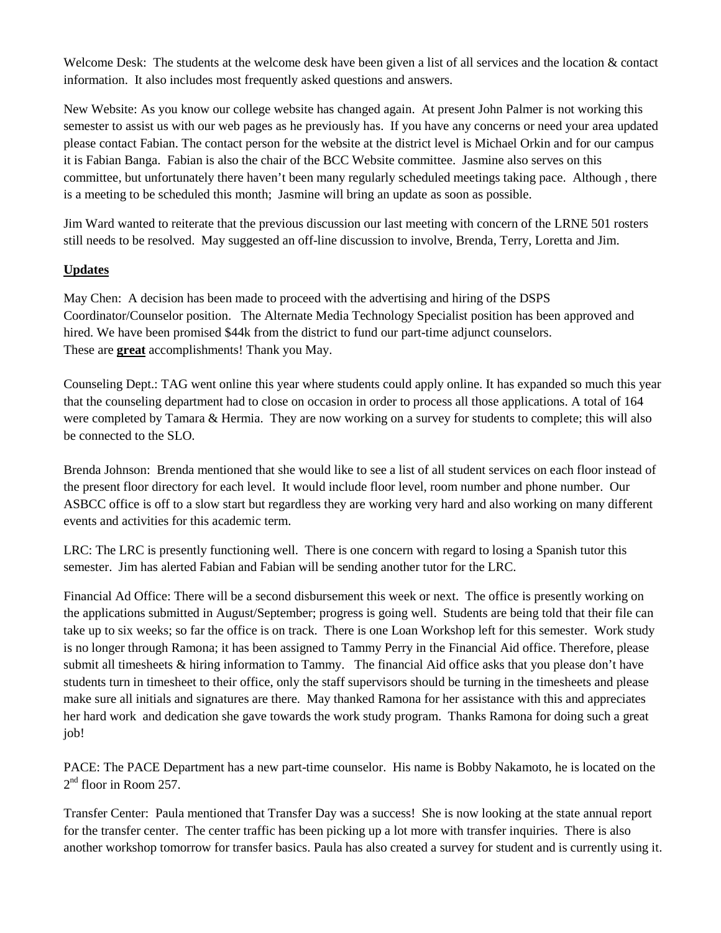Welcome Desk: The students at the welcome desk have been given a list of all services and the location  $\&$  contact information. It also includes most frequently asked questions and answers.

New Website: As you know our college website has changed again. At present John Palmer is not working this semester to assist us with our web pages as he previously has. If you have any concerns or need your area updated please contact Fabian. The contact person for the website at the district level is Michael Orkin and for our campus it is Fabian Banga. Fabian is also the chair of the BCC Website committee. Jasmine also serves on this committee, but unfortunately there haven't been many regularly scheduled meetings taking pace. Although , there is a meeting to be scheduled this month; Jasmine will bring an update as soon as possible.

Jim Ward wanted to reiterate that the previous discussion our last meeting with concern of the LRNE 501 rosters still needs to be resolved. May suggested an off-line discussion to involve, Brenda, Terry, Loretta and Jim.

## **Updates**

May Chen: A decision has been made to proceed with the advertising and hiring of the DSPS Coordinator/Counselor position. The Alternate Media Technology Specialist position has been approved and hired. We have been promised \$44k from the district to fund our part-time adjunct counselors. These are **great** accomplishments! Thank you May.

Counseling Dept.: TAG went online this year where students could apply online. It has expanded so much this year that the counseling department had to close on occasion in order to process all those applications. A total of 164 were completed by Tamara & Hermia. They are now working on a survey for students to complete; this will also be connected to the SLO.

Brenda Johnson: Brenda mentioned that she would like to see a list of all student services on each floor instead of the present floor directory for each level. It would include floor level, room number and phone number. Our ASBCC office is off to a slow start but regardless they are working very hard and also working on many different events and activities for this academic term.

LRC: The LRC is presently functioning well. There is one concern with regard to losing a Spanish tutor this semester. Jim has alerted Fabian and Fabian will be sending another tutor for the LRC.

Financial Ad Office: There will be a second disbursement this week or next. The office is presently working on the applications submitted in August/September; progress is going well. Students are being told that their file can take up to six weeks; so far the office is on track. There is one Loan Workshop left for this semester. Work study is no longer through Ramona; it has been assigned to Tammy Perry in the Financial Aid office. Therefore, please submit all timesheets & hiring information to Tammy. The financial Aid office asks that you please don't have students turn in timesheet to their office, only the staff supervisors should be turning in the timesheets and please make sure all initials and signatures are there. May thanked Ramona for her assistance with this and appreciates her hard work and dedication she gave towards the work study program. Thanks Ramona for doing such a great job!

PACE: The PACE Department has a new part-time counselor. His name is Bobby Nakamoto, he is located on the  $2<sup>nd</sup>$  floor in Room 257.

Transfer Center: Paula mentioned that Transfer Day was a success! She is now looking at the state annual report for the transfer center. The center traffic has been picking up a lot more with transfer inquiries. There is also another workshop tomorrow for transfer basics. Paula has also created a survey for student and is currently using it.